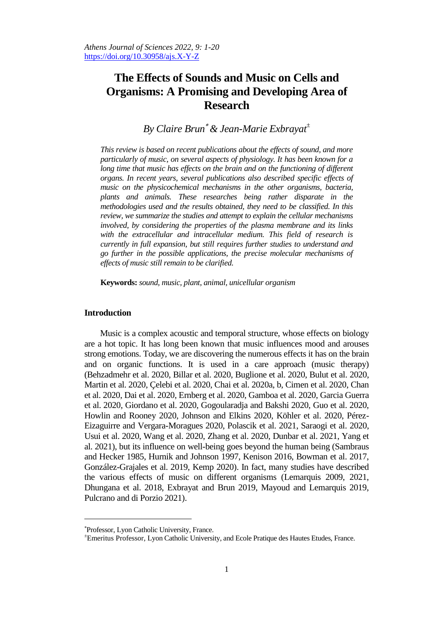# **The Effects of Sounds and Music on Cells and Organisms: A Promising and Developing Area of Research**

## *By Claire Brun & Jean-Marie Exbrayat<sup>±</sup>*

*This review is based on recent publications about the effects of sound, and more particularly of music, on several aspects of physiology. It has been known for a long time that music has effects on the brain and on the functioning of different organs. In recent years, several publications also described specific effects of music on the physicochemical mechanisms in the other organisms, bacteria, plants and animals. These researches being rather disparate in the methodologies used and the results obtained, they need to be classified. In this review, we summarize the studies and attempt to explain the cellular mechanisms involved, by considering the properties of the plasma membrane and its links*  with the extracellular and intracellular medium. This field of research is *currently in full expansion, but still requires further studies to understand and go further in the possible applications, the precise molecular mechanisms of effects of music still remain to be clarified.*

**Keywords:** *sound, music, plant, animal, unicellular organism*

## **Introduction**

 $\overline{a}$ 

Music is a complex acoustic and temporal structure, whose effects on biology are a hot topic. It has long been known that music influences mood and arouses strong emotions. Today, we are discovering the numerous effects it has on the brain and on organic functions. It is used in a care approach (music therapy) (Behzadmehr et al. 2020, Billar et al. 2020, Buglione et al. 2020, Bulut et al. 2020, Martin et al. 2020, Çelebi et al. 2020, Chai et al. 2020a, b, Cimen et al. 2020, Chan et al. 2020, Dai et al. 2020, Ernberg et al. 2020, Gamboa et al. 2020, Garcia Guerra et al. 2020, Giordano et al. 2020, Gogoularadja and Bakshi 2020, Guo et al. 2020, Howlin and Rooney 2020, Johnson and Elkins 2020, Köhler et al. 2020, Pérez-Eizaguirre and Vergara-Moragues 2020, Polascik et al. 2021, Saraogi et al. 2020, Usui et al. 2020, Wang et al. 2020, Zhang et al. 2020, Dunbar et al. 2021, Yang et al. 2021), but its influence on well-being goes beyond the human being (Sambraus and Hecker 1985, Hurnik and Johnson 1997, Kenison 2016, Bowman et al. 2017, González-Grajales et al. 2019, Kemp 2020). In fact, many studies have described the various effects of music on different organisms (Lemarquis 2009, 2021, Dhungana et al. 2018, Exbrayat and Brun 2019, Mayoud and Lemarquis 2019, Pulcrano and di Porzio 2021).

Professor, Lyon Catholic University, France.

<sup>±</sup>Emeritus Professor, Lyon Catholic University, and Ecole Pratique des Hautes Etudes, France.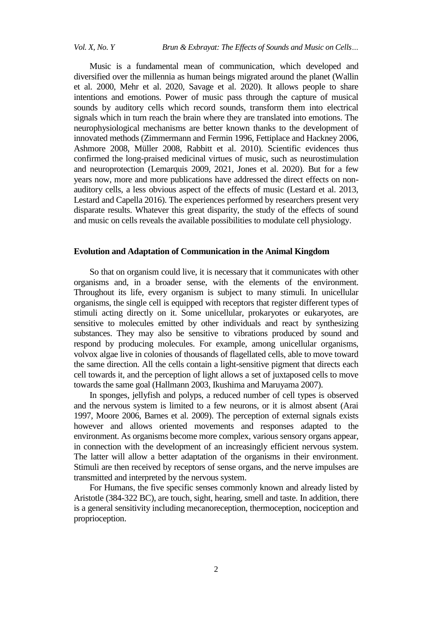Music is a fundamental mean of communication, which developed and diversified over the millennia as human beings migrated around the planet (Wallin et al. 2000, Mehr et al. 2020, Savage et al. 2020). It allows people to share intentions and emotions. Power of music pass through the capture of musical sounds by auditory cells which record sounds, transform them into electrical signals which in turn reach the brain where they are translated into emotions. The neurophysiological mechanisms are better known thanks to the development of innovated methods (Zimmermann and Fermin 1996, Fettiplace and Hackney 2006, Ashmore 2008, Müller 2008, Rabbitt et al. 2010). Scientific evidences thus confirmed the long-praised medicinal virtues of music, such as neurostimulation and neuroprotection (Lemarquis 2009, 2021, Jones et al. 2020). But for a few years now, more and more publications have addressed the direct effects on nonauditory cells, a less obvious aspect of the effects of music (Lestard et al. 2013, Lestard and Capella 2016). The experiences performed by researchers present very disparate results. Whatever this great disparity, the study of the effects of sound and music on cells reveals the available possibilities to modulate cell physiology.

## **Evolution and Adaptation of Communication in the Animal Kingdom**

So that on organism could live, it is necessary that it communicates with other organisms and, in a broader sense, with the elements of the environment. Throughout its life, every organism is subject to many stimuli. In unicellular organisms, the single cell is equipped with receptors that register different types of stimuli acting directly on it. Some unicellular, prokaryotes or eukaryotes, are sensitive to molecules emitted by other individuals and react by synthesizing substances. They may also be sensitive to vibrations produced by sound and respond by producing molecules. For example, among unicellular organisms, volvox algae live in colonies of thousands of flagellated cells, able to move toward the same direction. All the cells contain a light-sensitive pigment that directs each cell towards it, and the perception of light allows a set of juxtaposed cells to move towards the same goal (Hallmann 2003, Ikushima and Maruyama 2007).

In sponges, jellyfish and polyps, a reduced number of cell types is observed and the nervous system is limited to a few neurons, or it is almost absent (Arai 1997, Moore 2006, Barnes et al. 2009). The perception of external signals exists however and allows oriented movements and responses adapted to the environment. As organisms become more complex, various sensory organs appear, in connection with the development of an increasingly efficient nervous system. The latter will allow a better adaptation of the organisms in their environment. Stimuli are then received by receptors of sense organs, and the nerve impulses are transmitted and interpreted by the nervous system.

For Humans, the five specific senses commonly known and already listed by Aristotle (384-322 BC), are touch, sight, hearing, smell and taste. In addition, there is a general sensitivity including mecanoreception, thermoception, nociception and proprioception.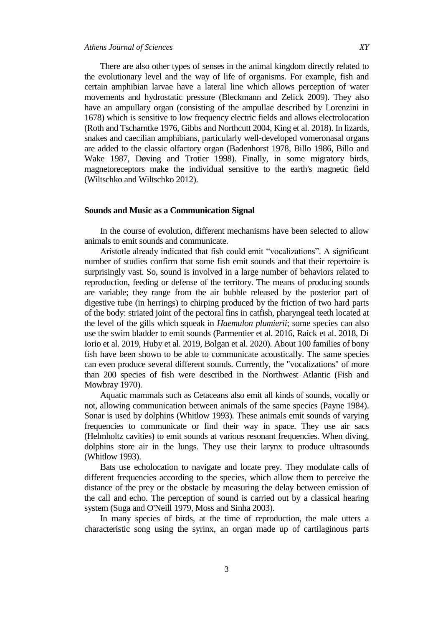There are also other types of senses in the animal kingdom directly related to the evolutionary level and the way of life of organisms. For example, fish and certain amphibian larvae have a lateral line which allows perception of water movements and hydrostatic pressure (Bleckmann and Zelick 2009). They also have an ampullary organ (consisting of the ampullae described by Lorenzini in 1678) which is sensitive to low frequency electric fields and allows electrolocation (Roth and Tscharntke 1976, Gibbs and Northcutt 2004, King et al. 2018). In lizards, snakes and caecilian amphibians, particularly well-developed vomeronasal organs are added to the classic olfactory organ (Badenhorst 1978, Billo 1986, Billo and Wake 1987, Døving and Trotier 1998). Finally, in some migratory birds, magnetoreceptors make the individual sensitive to the earth's magnetic field (Wiltschko and Wiltschko 2012).

## **Sounds and Music as a Communication Signal**

In the course of evolution, different mechanisms have been selected to allow animals to emit sounds and communicate.

Aristotle already indicated that fish could emit "vocalizations". A significant number of studies confirm that some fish emit sounds and that their repertoire is surprisingly vast. So, sound is involved in a large number of behaviors related to reproduction, feeding or defense of the territory. The means of producing sounds are variable; they range from the air bubble released by the posterior part of digestive tube (in herrings) to chirping produced by the friction of two hard parts of the body: striated joint of the pectoral fins in catfish, pharyngeal teeth located at the level of the gills which squeak in *Haemulon plumierii*; some species can also use the swim bladder to emit sounds (Parmentier et al. 2016, Raick et al. 2018, Di Iorio et al. 2019, Huby et al. 2019, Bolgan et al. 2020). About 100 families of bony fish have been shown to be able to communicate acoustically. The same species can even produce several different sounds. Currently, the "vocalizations" of more than 200 species of fish were described in the Northwest Atlantic (Fish and Mowbray 1970).

Aquatic mammals such as Cetaceans also emit all kinds of sounds, vocally or not, allowing communication between animals of the same species (Payne 1984). Sonar is used by dolphins (Whitlow 1993). These animals emit sounds of varying frequencies to communicate or find their way in space. They use air sacs (Helmholtz cavities) to emit sounds at various resonant frequencies. When diving, dolphins store air in the lungs. They use their larynx to produce ultrasounds (Whitlow 1993).

Bats use echolocation to navigate and locate prey. They modulate calls of different frequencies according to the species, which allow them to perceive the distance of the prey or the obstacle by measuring the delay between emission of the call and echo. The perception of sound is carried out by a classical hearing system (Suga and O'Neill 1979, Moss and Sinha 2003).

In many species of birds, at the time of reproduction, the male utters a characteristic song using the syrinx, an organ made up of cartilaginous parts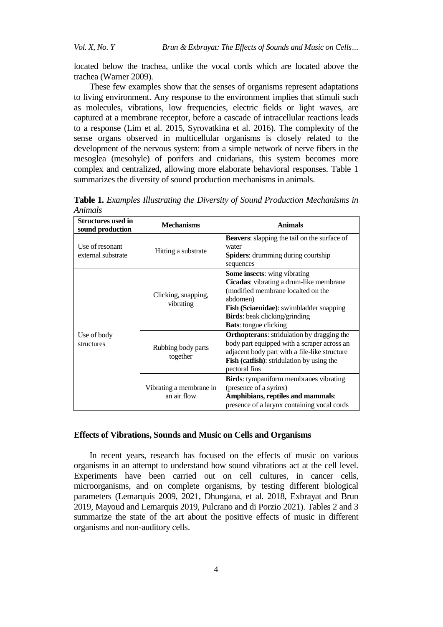located below the trachea, unlike the vocal cords which are located above the trachea (Warner 2009).

These few examples show that the senses of organisms represent adaptations to living environment. Any response to the environment implies that stimuli such as molecules, vibrations, low frequencies, electric fields or light waves, are captured at a membrane receptor, before a cascade of intracellular reactions leads to a response (Lim et al. 2015, Syrovatkina et al. 2016). The complexity of the sense organs observed in multicellular organisms is closely related to the development of the nervous system: from a simple network of nerve fibers in the mesoglea (mesohyle) of porifers and cnidarians, this system becomes more complex and centralized, allowing more elaborate behavioral responses. Table 1 summarizes the diversity of sound production mechanisms in animals.

| <b>Structures used in</b><br>sound production | <b>Mechanisms</b>                      | <b>Animals</b>                                                                                                                                                                                                                                             |
|-----------------------------------------------|----------------------------------------|------------------------------------------------------------------------------------------------------------------------------------------------------------------------------------------------------------------------------------------------------------|
| Use of resonant<br>external substrate         | Hitting a substrate                    | <b>Beavers:</b> slapping the tail on the surface of<br>water<br><b>Spiders:</b> drumming during courtship<br>sequences                                                                                                                                     |
| Use of body<br>structures                     | Clicking, snapping,<br>vibrating       | <b>Some insects:</b> wing vibrating<br>Cicadas: vibrating a drum-like membrane<br>(modified membrane localted on the<br>abdomen)<br><b>Fish (Sciaenidae):</b> swimbladder snapping<br><b>Birds:</b> beak clicking/grinding<br><b>Bats:</b> tongue clicking |
|                                               | Rubbing body parts<br>together         | <b>Orthopterans:</b> stridulation by dragging the<br>body part equipped with a scraper across an<br>adjacent body part with a file-like structure<br>Fish (catfish): stridulation by using the<br>pectoral fins                                            |
|                                               | Vibrating a membrane in<br>an air flow | <b>Birds:</b> tympaniform membranes vibrating<br>(presence of a syrinx)<br>Amphibians, reptiles and mammals:<br>presence of a larynx containing vocal cords                                                                                                |

**Table 1.** *Examples Illustrating the Diversity of Sound Production Mechanisms in Animals*

#### **Effects of Vibrations, Sounds and Music on Cells and Organisms**

In recent years, research has focused on the effects of music on various organisms in an attempt to understand how sound vibrations act at the cell level. Experiments have been carried out on cell cultures, in cancer cells, microorganisms, and on complete organisms, by testing different biological parameters (Lemarquis 2009, 2021, Dhungana, et al. 2018, Exbrayat and Brun 2019, Mayoud and Lemarquis 2019, Pulcrano and di Porzio 2021). Tables 2 and 3 summarize the state of the art about the positive effects of music in different organisms and non-auditory cells.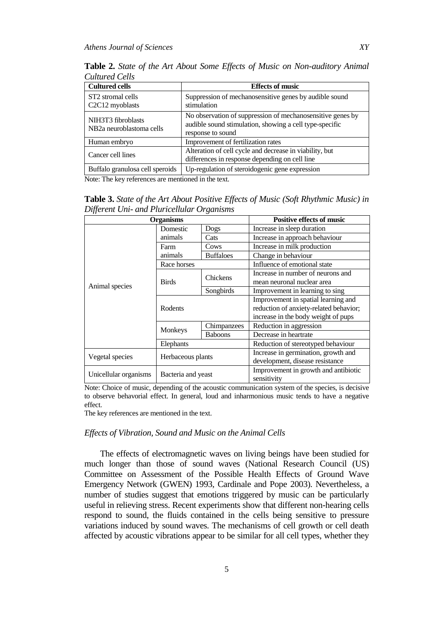**Table 2.** *State of the Art About Some Effects of Music on Non-auditory Animal Cultured Cells* 

| <b>Cultured cells</b>                                       | <b>Effects of music</b>                                                                                                                    |  |  |
|-------------------------------------------------------------|--------------------------------------------------------------------------------------------------------------------------------------------|--|--|
| ST <sub>2</sub> stromal cells<br>C2C12 myoblasts            | Suppression of mechanosensitive genes by audible sound<br>stimulation                                                                      |  |  |
| NIH3T3 fibroblasts<br>NB <sub>2</sub> a neuroblastoma cells | No observation of suppression of mechanosensitive genes by<br>audible sound stimulation, showing a cell type-specific<br>response to sound |  |  |
| Human embryo                                                | Improvement of fertilization rates                                                                                                         |  |  |
| Cancer cell lines                                           | Alteration of cell cycle and decrease in viability, but<br>differences in response depending on cell line                                  |  |  |
| Buffalo granulosa cell speroids                             | Up-regulation of steroidogenic gene expression                                                                                             |  |  |

Note: The key references are mentioned in the text.

**Table 3.** *State of the Art About Positive Effects of Music (Soft Rhythmic Music) in Different Uni- and Pluricellular Organisms*

| <b>Organisms</b>      |                    |                  | <b>Positive effects of music</b>       |
|-----------------------|--------------------|------------------|----------------------------------------|
| Animal species        | Domestic           | Dogs             | Increase in sleep duration             |
|                       | animals            | Cats             | Increase in approach behaviour         |
|                       | Farm               | Cows             | Increase in milk production            |
|                       | animals            | <b>Buffaloes</b> | Change in behaviour                    |
|                       | Race horses        |                  | Influence of emotional state           |
|                       | <b>Birds</b>       | Chickens         | Increase in number of neurons and      |
|                       |                    |                  | mean neuronal nuclear area             |
|                       |                    | Songbirds        | Improvement in learning to sing        |
|                       | Rodents            |                  | Improvement in spatial learning and    |
|                       |                    |                  | reduction of anxiety-related behavior; |
|                       |                    |                  | increase in the body weight of pups    |
|                       | Monkeys            | Chimpanzees      | Reduction in aggression                |
|                       |                    | <b>Baboons</b>   | Decrease in heartrate                  |
|                       | Elephants          |                  | Reduction of stereotyped behaviour     |
| Vegetal species       | Herbaceous plants  |                  | Increase in germination, growth and    |
|                       |                    |                  | development, disease resistance        |
| Unicellular organisms | Bacteria and yeast |                  | Improvement in growth and antibiotic   |
|                       |                    |                  | sensitivity                            |

Note: Choice of music, depending of the acoustic communication system of the species, is decisive to observe behavorial effect. In general, loud and inharmonious music tends to have a negative effect.

The key references are mentioned in the text.

## *Effects of Vibration, Sound and Music on the Animal Cells*

The effects of electromagnetic waves on living beings have been studied for much longer than those of sound waves (National Research Council (US) Committee on Assessment of the Possible Health Effects of Ground Wave Emergency Network (GWEN) 1993, Cardinale and Pope 2003). Nevertheless, a number of studies suggest that emotions triggered by music can be particularly useful in relieving stress. Recent experiments show that different non-hearing cells respond to sound, the fluids contained in the cells being sensitive to pressure variations induced by sound waves. The mechanisms of cell growth or cell death affected by acoustic vibrations appear to be similar for all cell types, whether they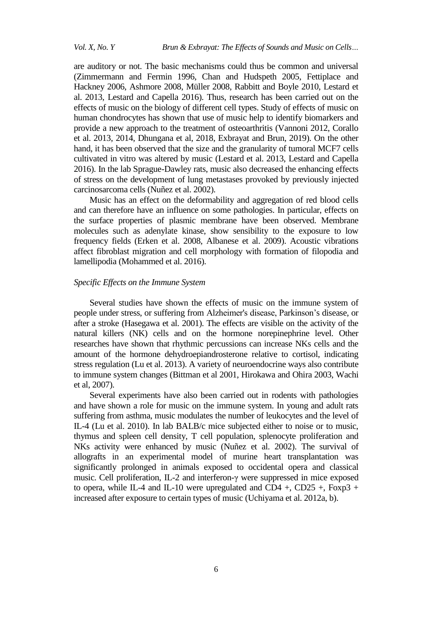are auditory or not. The basic mechanisms could thus be common and universal (Zimmermann and Fermin 1996, Chan and Hudspeth 2005, Fettiplace and Hackney 2006, Ashmore 2008, Müller 2008, Rabbitt and Boyle 2010, Lestard et al. 2013, Lestard and Capella 2016). Thus, research has been carried out on the effects of music on the biology of different cell types. Study of effects of music on human chondrocytes has shown that use of music help to identify biomarkers and provide a new approach to the treatment of osteoarthritis (Vannoni 2012, Corallo et al. 2013, 2014, Dhungana et al, 2018, Exbrayat and Brun, 2019). On the other hand, it has been observed that the size and the granularity of tumoral MCF7 cells cultivated in vitro was altered by music (Lestard et al. 2013, Lestard and Capella 2016). In the lab Sprague-Dawley rats, music also decreased the enhancing effects of stress on the development of lung metastases provoked by previously injected carcinosarcoma cells (Nuñez et al. 2002).

Music has an effect on the deformability and aggregation of red blood cells and can therefore have an influence on some pathologies. In particular, effects on the surface properties of plasmic membrane have been observed. Membrane molecules such as adenylate kinase, show sensibility to the exposure to low frequency fields (Erken et al. 2008, Albanese et al. 2009). Acoustic vibrations affect fibroblast migration and cell morphology with formation of filopodia and lamellipodia (Mohammed et al. 2016).

## *Specific Effects on the Immune System*

Several studies have shown the effects of music on the immune system of people under stress, or suffering from Alzheimer's disease, Parkinson"s disease, or after a stroke (Hasegawa et al. 2001). The effects are visible on the activity of the natural killers (NK) cells and on the hormone norepinephrine level. Other researches have shown that rhythmic percussions can increase NKs cells and the amount of the hormone dehydroepiandrosterone relative to cortisol, indicating stress regulation (Lu et al. 2013). A variety of neuroendocrine ways also contribute to immune system changes (Bittman et al 2001, Hirokawa and Ohira 2003, Wachi et al, 2007).

Several experiments have also been carried out in rodents with pathologies and have shown a role for music on the immune system. In young and adult rats suffering from asthma, music modulates the number of leukocytes and the level of IL-4 (Lu et al. 2010). In lab BALB/c mice subjected either to noise or to music, thymus and spleen cell density, T cell population, splenocyte proliferation and NKs activity were enhanced by music (Nuñez et al. 2002). The survival of allografts in an experimental model of murine heart transplantation was significantly prolonged in animals exposed to occidental opera and classical music. Cell proliferation, IL-2 and interferon-γ were suppressed in mice exposed to opera, while IL-4 and IL-10 were upregulated and CD4 +, CD25 +, Foxp3 + increased after exposure to certain types of music (Uchiyama et al. 2012a, b).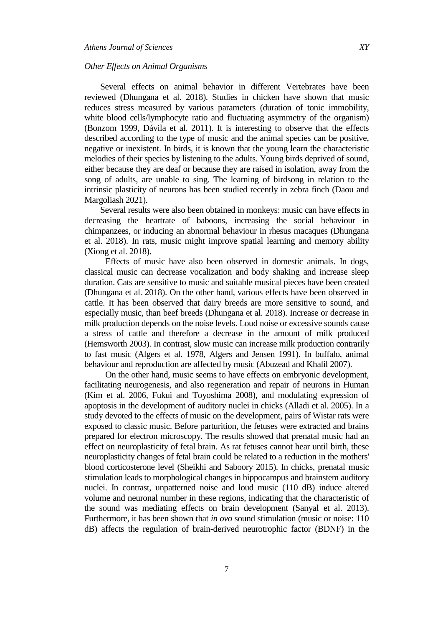#### *Other Effects on Animal Organisms*

Several effects on animal behavior in different Vertebrates have been reviewed (Dhungana et al. 2018). Studies in chicken have shown that music reduces stress measured by various parameters (duration of tonic immobility, white blood cells/lymphocyte ratio and fluctuating asymmetry of the organism) (Bonzom 1999, Dávila et al. 2011). It is interesting to observe that the effects described according to the type of music and the animal species can be positive, negative or inexistent. In birds, it is known that the young learn the characteristic melodies of their species by listening to the adults. Young birds deprived of sound, either because they are deaf or because they are raised in isolation, away from the song of adults, are unable to sing. The learning of birdsong in relation to the intrinsic plasticity of neurons has been studied recently in zebra finch (Daou and Margoliash 2021).

Several results were also been obtained in monkeys: music can have effects in decreasing the heartrate of baboons, increasing the social behaviour in chimpanzees, or inducing an abnormal behaviour in rhesus macaques (Dhungana et al. 2018). In rats, music might improve spatial learning and memory ability (Xiong et al. 2018).

Effects of music have also been observed in domestic animals. In dogs, classical music can decrease vocalization and body shaking and increase sleep duration. Cats are sensitive to music and suitable musical pieces have been created (Dhungana et al. 2018). On the other hand, various effects have been observed in cattle. It has been observed that dairy breeds are more sensitive to sound, and especially music, than beef breeds (Dhungana et al. 2018). Increase or decrease in milk production depends on the noise levels. Loud noise or excessive sounds cause a stress of cattle and therefore a decrease in the amount of milk produced (Hemsworth 2003). In contrast, slow music can increase milk production contrarily to fast music (Algers et al. 1978, Algers and Jensen 1991). In buffalo, animal behaviour and reproduction are affected by music (Abuzead and Khalil 2007).

On the other hand, music seems to have effects on embryonic development, facilitating neurogenesis, and also regeneration and repair of neurons in Human (Kim et al. 2006, Fukui and Toyoshima 2008), and modulating expression of apoptosis in the development of auditory nuclei in chicks (Alladi et al. 2005). In a study devoted to the effects of music on the development, pairs of Wistar rats were exposed to classic music. Before parturition, the fetuses were extracted and brains prepared for electron microscopy. The results showed that prenatal music had an effect on neuroplasticity of fetal brain. As rat fetuses cannot hear until birth, these neuroplasticity changes of fetal brain could be related to a reduction in the mothers' blood corticosterone level (Sheikhi and Saboory 2015). In chicks, prenatal music stimulation leads to morphological changes in hippocampus and brainstem auditory nuclei. In contrast, unpatterned noise and loud music (110 dB) induce altered volume and neuronal number in these regions, indicating that the characteristic of the sound was mediating effects on brain development (Sanyal et al. 2013). Furthermore, it has been shown that *in ovo* sound stimulation (music or noise: 110 dB) affects the regulation of brain-derived neurotrophic factor (BDNF) in the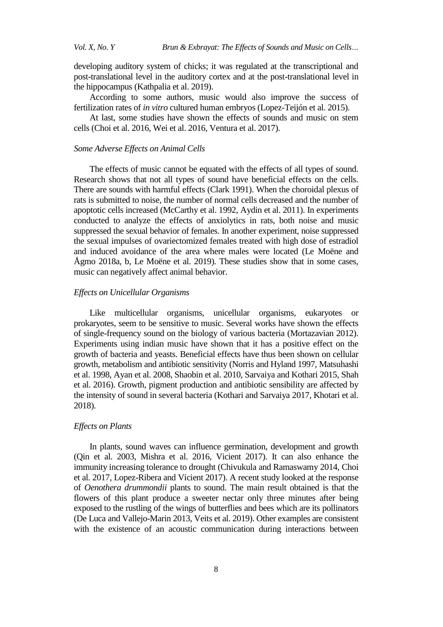developing auditory system of chicks; it was regulated at the transcriptional and post-translational level in the auditory cortex and at the post-translational level in the hippocampus (Kathpalia et al. 2019).

According to some authors, music would also improve the success of fertilization rates of *in vitro* cultured human embryos (Lopez-Teijón et al. 2015).

At last, some studies have shown the effects of sounds and music on stem cells (Choi et al. 2016, Wei et al. 2016, Ventura et al. 2017).

#### *Some Adverse Effects on Animal Cells*

The effects of music cannot be equated with the effects of all types of sound. Research shows that not all types of sound have beneficial effects on the cells. There are sounds with harmful effects (Clark 1991). When the choroidal plexus of rats is submitted to noise, the number of normal cells decreased and the number of apoptotic cells increased (McCarthy et al. 1992, Aydin et al. 2011). In experiments conducted to analyze the effects of anxiolytics in rats, both noise and music suppressed the sexual behavior of females. In another experiment, noise suppressed the sexual impulses of ovariectomized females treated with high dose of estradiol and induced avoidance of the area where males were located (Le Moëne and Ågmo 2018a, b, Le Moëne et al. 2019). These studies show that in some cases, music can negatively affect animal behavior.

#### *Effects on Unicellular Organisms*

Like multicellular organisms, unicellular organisms, eukaryotes or prokaryotes, seem to be sensitive to music. Several works have shown the effects of single-frequency sound on the biology of various bacteria (Mortazavian 2012). Experiments using indian music have shown that it has a positive effect on the growth of bacteria and yeasts. Beneficial effects have thus been shown on cellular growth, metabolism and antibiotic sensitivity (Norris and Hyland 1997, Matsuhashi et al. 1998, Ayan et al. 2008, Shaobin et al. 2010, Sarvaiya and Kothari 2015, Shah et al. 2016). Growth, pigment production and antibiotic sensibility are affected by the intensity of sound in several bacteria (Kothari and Sarvaiya 2017, Khotari et al. 2018).

#### *Effects on Plants*

In plants, sound waves can influence germination, development and growth (Qin et al. 2003, Mishra et al. 2016, Vicient 2017). It can also enhance the immunity increasing tolerance to drought (Chivukula and Ramaswamy 2014, Choi et al. 2017, Lopez-Ribera and Vicient 2017). A recent study looked at the response of *Oenothera drummondii* plants to sound. The main result obtained is that the flowers of this plant produce a sweeter nectar only three minutes after being exposed to the rustling of the wings of butterflies and bees which are its pollinators (De Luca and Vallejo-Marin 2013, Veits et al. 2019). Other examples are consistent with the existence of an acoustic communication during interactions between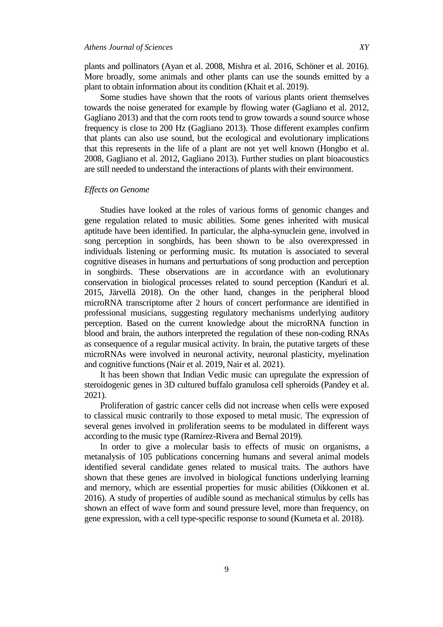plants and pollinators (Ayan et al. 2008, Mishra et al. 2016, Schöner et al. 2016). More broadly, some animals and other plants can use the sounds emitted by a plant to obtain information about its condition (Khait et al. 2019).

Some studies have shown that the roots of various plants orient themselves towards the noise generated for example by flowing water (Gagliano et al. 2012, Gagliano 2013) and that the corn roots tend to grow towards a sound source whose frequency is close to 200 Hz (Gagliano 2013). Those different examples confirm that plants can also use sound, but the ecological and evolutionary implications that this represents in the life of a plant are not yet well known (Hongbo et al. 2008, Gagliano et al. 2012, Gagliano 2013). Further studies on plant bioacoustics are still needed to understand the interactions of plants with their environment.

#### *Effects on Genome*

Studies have looked at the roles of various forms of genomic changes and gene regulation related to music abilities. Some genes inherited with musical aptitude have been identified. In particular, the alpha-synuclein gene, involved in song perception in songbirds, has been shown to be also overexpressed in individuals listening or performing music. Its mutation is associated to several cognitive diseases in humans and perturbations of song production and perception in songbirds. These observations are in accordance with an evolutionary conservation in biological processes related to sound perception (Kanduri et al. 2015, Järvellä 2018). On the other hand, changes in the peripheral blood microRNA transcriptome after 2 hours of concert performance are identified in professional musicians, suggesting regulatory mechanisms underlying auditory perception. Based on the current knowledge about the microRNA function in blood and brain, the authors interpreted the regulation of these non-coding RNAs as consequence of a regular musical activity. In brain, the putative targets of these microRNAs were involved in neuronal activity, neuronal plasticity, myelination and cognitive functions (Nair et al. 2019, Nair et al. 2021).

It has been shown that Indian Vedic music can upregulate the expression of steroidogenic genes in 3D cultured buffalo granulosa cell spheroids (Pandey et al. 2021).

Proliferation of gastric cancer cells did not increase when cells were exposed to classical music contrarily to those exposed to metal music. The expression of several genes involved in proliferation seems to be modulated in different ways according to the music type (Ramírez-Rivera and Bernal 2019).

In order to give a molecular basis to effects of music on organisms, a metanalysis of 105 publications concerning humans and several animal models identified several candidate genes related to musical traits. The authors have shown that these genes are involved in biological functions underlying learning and memory, which are essential properties for music abilities (Oikkonen et al. 2016). A study of properties of audible sound as mechanical stimulus by cells has shown an effect of wave form and sound pressure level, more than frequency, on gene expression, with a cell type-specific response to sound (Kumeta et al. 2018).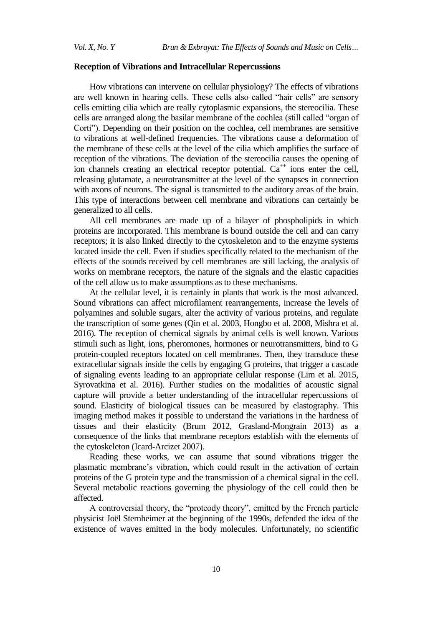## **Reception of Vibrations and Intracellular Repercussions**

How vibrations can intervene on cellular physiology? The effects of vibrations are well known in hearing cells. These cells also called "hair cells" are sensory cells emitting cilia which are really cytoplasmic expansions, the stereocilia. These cells are arranged along the basilar membrane of the cochlea (still called "organ of Corti"). Depending on their position on the cochlea, cell membranes are sensitive to vibrations at well-defined frequencies. The vibrations cause a deformation of the membrane of these cells at the level of the cilia which amplifies the surface of reception of the vibrations. The deviation of the stereocilia causes the opening of ion channels creating an electrical receptor potential.  $Ca^{++}$  ions enter the cell, releasing glutamate, a neurotransmitter at the level of the synapses in connection with axons of neurons. The signal is transmitted to the auditory areas of the brain. This type of interactions between cell membrane and vibrations can certainly be generalized to all cells.

All cell membranes are made up of a bilayer of phospholipids in which proteins are incorporated. This membrane is bound outside the cell and can carry receptors; it is also linked directly to the cytoskeleton and to the enzyme systems located inside the cell. Even if studies specifically related to the mechanism of the effects of the sounds received by cell membranes are still lacking, the analysis of works on membrane receptors, the nature of the signals and the elastic capacities of the cell allow us to make assumptions as to these mechanisms.

At the cellular level, it is certainly in plants that work is the most advanced. Sound vibrations can affect microfilament rearrangements, increase the levels of polyamines and soluble sugars, alter the activity of various proteins, and regulate the transcription of some genes (Qin et al. 2003, Hongbo et al. 2008, Mishra et al. 2016). The reception of chemical signals by animal cells is well known. Various stimuli such as light, ions, pheromones, hormones or neurotransmitters, bind to G protein-coupled receptors located on cell membranes. Then, they transduce these extracellular signals inside the cells by engaging G proteins, that trigger a cascade of signaling events leading to an appropriate cellular response (Lim et al. 2015, Syrovatkina et al. 2016). Further studies on the modalities of acoustic signal capture will provide a better understanding of the intracellular repercussions of sound. Elasticity of biological tissues can be measured by elastography. This imaging method makes it possible to understand the variations in the hardness of tissues and their elasticity (Brum 2012, Grasland-Mongrain 2013) as a consequence of the links that membrane receptors establish with the elements of the cytoskeleton (Icard-Arcizet 2007).

Reading these works, we can assume that sound vibrations trigger the plasmatic membrane"s vibration, which could result in the activation of certain proteins of the G protein type and the transmission of a chemical signal in the cell. Several metabolic reactions governing the physiology of the cell could then be affected.

A controversial theory, the "proteody theory", emitted by the French particle physicist Joël Sternheimer at the beginning of the 1990s, defended the idea of the existence of waves emitted in the body molecules. Unfortunately, no scientific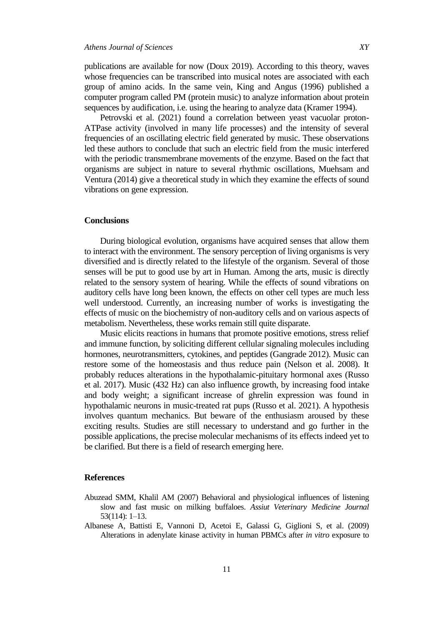publications are available for now (Doux 2019). According to this theory, waves whose frequencies can be transcribed into musical notes are associated with each group of amino acids. In the same vein, King and Angus (1996) published a computer program called PM (protein music) to analyze information about protein sequences by audification, i.e. using the hearing to analyze data (Kramer 1994).

Petrovski et al. (2021) found a correlation between yeast vacuolar proton-ATPase activity (involved in many life processes) and the intensity of several frequencies of an oscillating electric field generated by music. These observations led these authors to conclude that such an electric field from the music interfered with the periodic transmembrane movements of the enzyme. Based on the fact that organisms are subject in nature to several rhythmic oscillations, Muehsam and Ventura (2014) give a theoretical study in which they examine the effects of sound vibrations on gene expression.

## **Conclusions**

During biological evolution, organisms have acquired senses that allow them to interact with the environment. The sensory perception of living organisms is very diversified and is directly related to the lifestyle of the organism. Several of those senses will be put to good use by art in Human. Among the arts, music is directly related to the sensory system of hearing. While the effects of sound vibrations on auditory cells have long been known, the effects on other cell types are much less well understood. Currently, an increasing number of works is investigating the effects of music on the biochemistry of non-auditory cells and on various aspects of metabolism. Nevertheless, these works remain still quite disparate.

Music elicits reactions in humans that promote positive emotions, stress relief and immune function, by soliciting different cellular signaling molecules including hormones, neurotransmitters, cytokines, and peptides (Gangrade 2012). Music can restore some of the homeostasis and thus reduce pain (Nelson et al. 2008). It probably reduces alterations in the hypothalamic-pituitary hormonal axes (Russo et al. 2017). Music (432 Hz) can also influence growth, by increasing food intake and body weight; a significant increase of ghrelin expression was found in hypothalamic neurons in music-treated rat pups (Russo et al. 2021). A hypothesis involves quantum mechanics. But beware of the enthusiasm aroused by these exciting results. Studies are still necessary to understand and go further in the possible applications, the precise molecular mechanisms of its effects indeed yet to be clarified. But there is a field of research emerging here.

#### **References**

- Abuzead SMM, Khalil AM (2007) Behavioral and physiological influences of listening slow and fast music on milking buffaloes. *Assiut Veterinary Medicine Journal* 53(114): 1–13.
- Albanese A, Battisti E, Vannoni D, Acetoi E, Galassi G, Giglioni S, et al. (2009) Alterations in adenylate kinase activity in human PBMCs after *in vitro* exposure to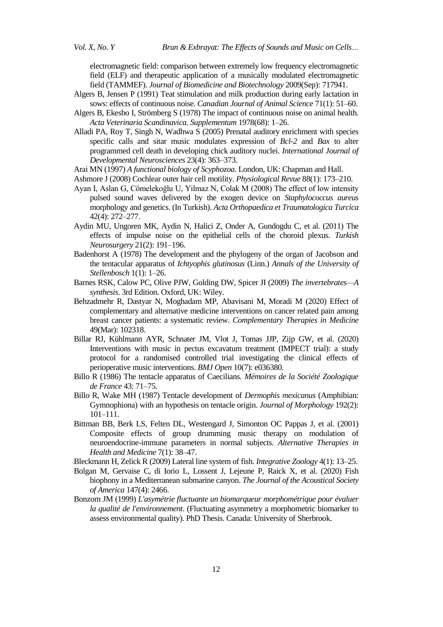electromagnetic field: comparison between extremely low frequency electromagnetic field (ELF) and therapeutic application of a musically modulated electromagnetic field (TAMMEF). *Journal of Biomedicine and Biotechnology* 2009(Sep): 717941.

- Algers B, Jensen P (1991) Teat stimulation and milk production during early lactation in sows: effects of continuous noise. *Canadian Journal of Animal Science* 71(1): 51–60.
- Algers B, Ekesbo I, Strömberg S (1978) The impact of continuous noise on animal health*. Acta Veterinaria Scandinavica. Supplementum* 1978(68): 1–26.
- Alladi PA, Roy T, Singh N, Wadhwa S (2005) Prenatal auditory enrichment with species specific calls and sitar music modulates expression of *Bcl-2* and *Bax* to alter programmed cell death in developing chick auditory nuclei. *International Journal of Developmental Neurosciences* 23(4): 363–373.
- Arai MN (1997) *A functional biology of Scyphozoa.* London, UK: Chapman and Hall.
- Ashmore J (2008) Cochlear outer hair cell motility. *Physiological Revue* 88(1): 173–210.
- Ayan I, Aslan G, Cömelekoğlu U, Yilmaz N, Colak M (2008) The effect of low intensity pulsed sound waves delivered by the exogen device on *Staphylococcus aureus* morphology and genetics. (In Turkish). *Acta Orthopaedica et Traumatologica Turcica* 42(4): 272–277.
- Aydin MU, Ungoren MK, Aydin N, Halici Z, Onder A, Gundogdu C, et al. (2011) The effects of impulse noise on the epithelial cells of the choroid plexus. *Turkish Neurosurgery* 21(2): 191–196.
- Badenhorst A (1978) The development and the phylogeny of the organ of Jacobson and the tentacular apparatus of *Ichtyophis glutinosus* (Linn.) *Annals of the University of Stellenbosch* 1(1): 1–26.
- Barnes RSK, Calow PC, Olive PJW, Golding DW, Spicer JI (2009) *The invertebrates—A synthesis*. 3rd Edition. Oxford, UK: Wiley.
- Behzadmehr R, Dastyar N, Moghadam MP, Abavisani M, Moradi M (2020) Effect of complementary and alternative medicine interventions on cancer related pain among breast cancer patients: a systematic review. *Complementary Therapies in Medicine* 49(Mar): 102318.
- Billar RJ, Kühlmann AYR, Schnater JM, Vlot J, Tomas JJP, Zijp GW, et al. (2020) Interventions with music in pectus excavatum treatment (IMPECT trial): a study protocol for a randomised controlled trial investigating the clinical effects of perioperative music interventions. *BMJ Open* 10(7): e036380.
- Billo R (1986) The tentacle apparatus of Caecilians. *Mémoires de la Société Zoologique de France* 43: 71–75.
- Billo R, Wake MH (1987) Tentacle development of *Dermophis mexicanus* (Amphibian: Gymnophiona) with an hypothesis on tentacle origin. *Journal of Morphology* 192(2): 101–111.
- Bittman BB, Berk LS, Felten DL, Westengard J, Simonton OC Pappas J, et al. (2001) Composite effects of group drumming music therapy on modulation of neuroendocrine-immune parameters in normal subjects. *Alternative Therapies in Health and Medicine* 7(1): 38–47.
- Bleckmann H, Zelick R (2009) Lateral line system of fish. *Integrative Zoology* 4(1): 13–25.
- Bolgan M, Gervaise C, di Iorio L, Lossent J, Lejeune P, Raick X, et al. (2020) Fish biophony in a Mediterranean submarine canyon. *The Journal of the Acoustical Society of America* 147(4): 2466.
- Bonzom JM (1999) *L'asymétrie fluctuante un biomarqueur morphométrique pour évaluer la qualité de l'environnement*. (Fluctuating asymmetry a morphometric biomarker to assess environmental quality). PhD Thesis. Canada: University of Sherbrook.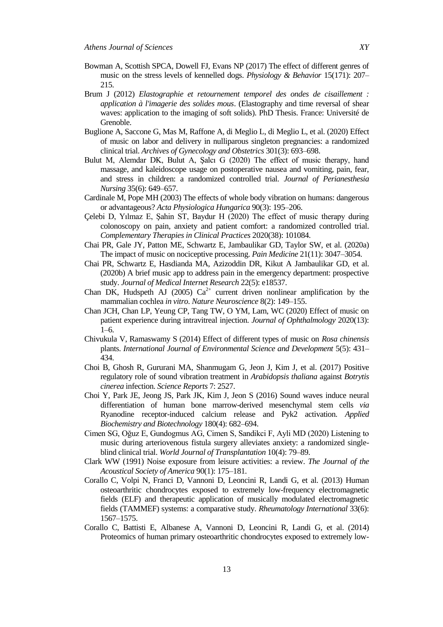- Bowman A, Scottish SPCA, Dowell FJ, Evans NP (2017) The effect of different genres of music on the stress levels of kennelled dogs. *Physiology & Behavior* 15(171): 207– 215.
- Brum J (2012) *Elastographie et retournement temporel des ondes de cisaillement : application à l'imagerie des solides mous*. (Elastography and time reversal of shear waves: application to the imaging of soft solids). PhD Thesis. France: Université de Grenoble.
- Buglione A, Saccone G, Mas M, Raffone A, di Meglio L, di Meglio L, et al. (2020) Effect of music on labor and delivery in nulliparous singleton pregnancies: a randomized clinical trial. *Archives of Gynecology and Obstetrics* 301(3): 693–698.
- Bulut M, Alemdar DK, Bulut A, Şalcı G (2020) The effect of music therapy, hand massage, and kaleidoscope usage on postoperative nausea and vomiting, pain, fear, and stress in children: a randomized controlled trial*. Journal of Perianesthesia Nursing* 35(6): 649–657.
- Cardinale M, Pope MH (2003) The effects of whole body vibration on humans: dangerous or advantageous? *Acta Physiologica Hungarica* 90(3): 195–206.
- Çelebi D, Yılmaz E, Şahin ST, Baydur H (2020) The effect of music therapy during colonoscopy on pain, anxiety and patient comfort: a randomized controlled trial. *Complementary Therapies in Clinical Practices* 2020(38): 101084.
- Chai PR, Gale JY, Patton ME, Schwartz E, Jambaulikar GD, Taylor SW, et al. (2020a) The impact of music on nociceptive processing. *Pain Medicine* 21(11): 3047–3054.
- Chai PR, Schwartz E, Hasdianda MA, Azizoddin DR, Kikut A Jambaulikar GD, et al. (2020b) A brief music app to address pain in the emergency department: prospective study. *Journal of Medical Internet Research* 22(5): e18537.
- Chan DK, Hudspeth AJ  $(2005)$   $Ca<sup>2+</sup>$  current driven nonlinear amplification by the mammalian cochlea *in vitro*. *Nature Neuroscience* 8(2): 149–155.
- Chan JCH, Chan LP, Yeung CP, Tang TW, O YM, Lam, WC (2020) Effect of music on patient experience during intravitreal injection. *Journal of Ophthalmology* 2020(13): 1–6.
- Chivukula V, Ramaswamy S (2014) Effect of different types of music on *Rosa chinensis* plants. *International Journal of Environmental Science and Development* 5(5): 431– 434.
- Choi B, Ghosh R, Gururani MA, Shanmugam G, Jeon J, Kim J, et al. (2017) Positive regulatory role of sound vibration treatment in *Arabidopsis thaliana* against *Botrytis cinerea* infection. *Science Reports* 7: 2527.
- Choi Y, Park JE, Jeong JS, Park JK, Kim J, Jeon S (2016) Sound waves induce neural differentiation of human bone marrow-derived mesenchymal stem cells *via* Ryanodine receptor-induced calcium release and Pyk2 activation. *Applied Biochemistry and Biotechnology* 180(4): 682–694.
- Cimen SG, Oğuz E, Gundogmus AG, Cimen S, Sandikci F, Ayli MD (2020) Listening to music during arteriovenous fistula surgery alleviates anxiety: a randomized singleblind clinical trial. *World Journal of Transplantation* 10(4): 79–89.
- Clark WW (1991) Noise exposure from leisure activities: a review. *The Journal of the Acoustical Society of America* 90(1): 175–181.
- Corallo C, Volpi N, Franci D, Vannoni D, Leoncini R, Landi G, et al. (2013) Human osteoarthritic chondrocytes exposed to extremely low-frequency electromagnetic fields (ELF) and therapeutic application of musically modulated electromagnetic fields (TAMMEF) systems: a comparative study. *Rheumatology International* 33(6): 1567–1575.
- Corallo C, Battisti E, Albanese A, Vannoni D, Leoncini R, Landi G, et al. (2014) Proteomics of human primary osteoarthritic chondrocytes exposed to extremely low-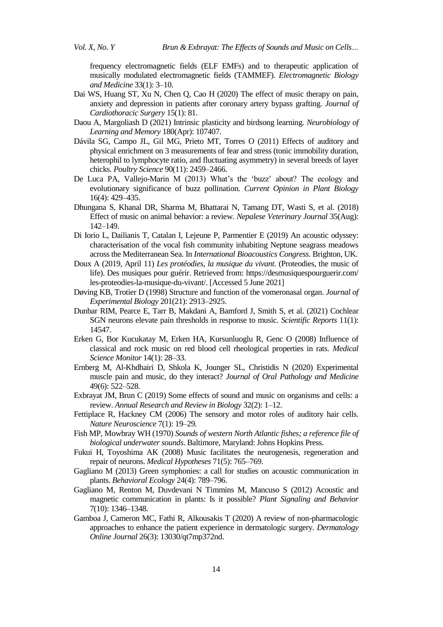frequency electromagnetic fields (ELF EMFs) and to therapeutic application of musically modulated electromagnetic fields (TAMMEF). *Electromagnetic Biology and Medicine* 33(1): 3–10.

- Dai WS, Huang ST, Xu N, Chen Q, Cao H (2020) The effect of music therapy on pain, anxiety and depression in patients after coronary artery bypass grafting. *Journal of Cardiothoracic Surgery* 15(1): 81.
- Daou A, Margoliash D (2021) Intrinsic plasticity and birdsong learning. *Neurobiology of Learning and Memory* 180(Apr): 107407.
- Dávila SG, Campo JL, Gil MG, Prieto MT, Torres O (2011) Effects of auditory and physical enrichment on 3 measurements of fear and stress (tonic immobility duration, heterophil to lymphocyte ratio, and fluctuating asymmetry) in several breeds of layer chicks. *Poultry Science* 90(11): 2459–2466.
- De Luca PA, Vallejo-Marin M (2013) What's the 'buzz' about? The ecology and evolutionary significance of buzz pollination. *Current Opinion in Plant Biology* 16(4): 429–435.
- Dhungana S, Khanal DR, Sharma M, Bhattarai N, Tamang DT, Wasti S, et al. (2018) Effect of music on animal behavior: a review. *Nepalese Veterinary Journal* 35(Aug): 142–149.
- Di Iorio L, Dailianis T, Catalan I, Lejeune P, Parmentier E (2019) An acoustic odyssey: characterisation of the vocal fish community inhabiting Neptune seagrass meadows across the Mediterranean Sea. In *International Bioacoustics Congress*. Brighton, UK.
- Doux A (2019, April 11) *Les protéodies, la musique du vivant*. (Proteodies, the music of life). Des musiques pour guérir. Retrieved from: https://desmusiquespourguerir.com/ les-proteodies-la-musique-du-vivant/. [Accessed 5 June 2021]
- Døving KB, Trotier D (1998) Structure and function of the vomeronasal organ. *Journal of Experimental Biology* 201(21): 2913–2925.
- Dunbar RIM, Pearce E, Tarr B, Makdani A, Bamford J, Smith S, et al. (2021) Cochlear SGN neurons elevate pain thresholds in response to music. *Scientific Reports* 11(1): 14547.
- Erken G, Bor Kucukatay M, Erken HA, Kursunluoglu R, Genc O (2008) Influence of classical and rock music on red blood cell rheological properties in rats. *Medical Science Monitor* 14(1): 28–33.
- Ernberg M, Al-Khdhairi D, Shkola K, Jounger SL, Christidis N (2020) Experimental muscle pain and music, do they interact? *Journal of Oral Pathology and Medicine* 49(6): 522–528.
- Exbrayat JM, Brun C (2019) Some effects of sound and music on organisms and cells: a review. *Annual Research and Review in Biology* 32(2): 1–12.
- Fettiplace R, Hackney CM (2006) The sensory and motor roles of auditory hair cells. *Nature Neuroscience* 7(1): 19–29.
- Fish MP, Mowbray WH (1970) *Sounds of western North Atlantic fishes; a reference file of biological underwater sounds*. Baltimore, Maryland: Johns Hopkins Press.
- Fukui H, Toyoshima AK (2008) Music facilitates the neurogenesis, regeneration and repair of neurons. *Medical Hypotheses* 71(5): 765–769.
- Gagliano M (2013) Green symphonies: a call for studies on acoustic communication in plants. *Behavioral Ecology* 24(4): 789–796.
- Gagliano M, Renton M, Duvdevani N Timmins M, Mancuso S (2012) Acoustic and magnetic communication in plants: Is it possible? *Plant Signaling and Behavior* 7(10): 1346–1348.
- Gamboa J, Cameron MC, Fathi R, Alkousakis T (2020) A review of non-pharmacologic approaches to enhance the patient experience in dermatologic surgery. *Dermatology Online Journal* 26(3): 13030/qt7mp372nd.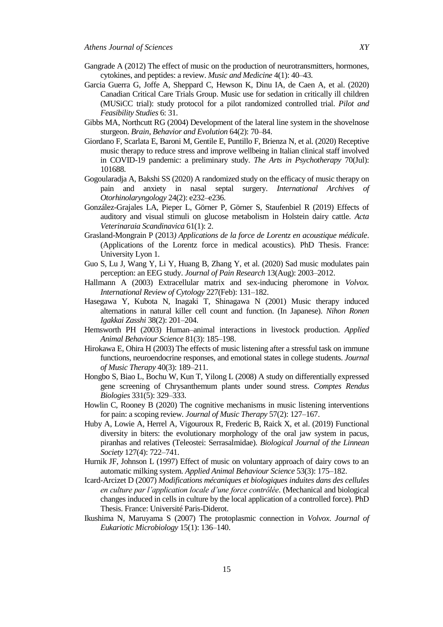- Gangrade A (2012) The effect of music on the production of neurotransmitters, hormones, cytokines, and peptides: a review. *Music and Medicine* 4(1): 40–43.
- Garcia Guerra G, Joffe A, Sheppard C, Hewson K, Dinu IA, de Caen A, et al. (2020) Canadian Critical Care Trials Group. Music use for sedation in critically ill children (MUSiCC trial): study protocol for a pilot randomized controlled trial. *Pilot and Feasibility Studies* 6: 31.
- Gibbs MA, Northcutt RG (2004) Development of the lateral line system in the shovelnose sturgeon. *Brain, Behavior and Evolution* 64(2): 70–84.
- Giordano F, Scarlata E, Baroni M, Gentile E, Puntillo F, Brienza N, et al. (2020) Receptive music therapy to reduce stress and improve wellbeing in Italian clinical staff involved in COVID-19 pandemic: a preliminary study. *The Arts in Psychotherapy* 70(Jul): 101688.
- Gogoularadja A, Bakshi SS (2020) A randomized study on the efficacy of music therapy on pain and anxiety in nasal septal surgery. *International Archives of Otorhinolaryngology* 24(2): e232–e236.
- González-Grajales LA, Pieper L, Görner P, Görner S, Staufenbiel R (2019) Effects of auditory and visual stimuli on glucose metabolism in Holstein dairy cattle. *Acta Veterinaraia Scandinavica* 61(1): 2.
- Grasland-Mongrain P (2013*) Applications de la force de Lorentz en acoustique médicale*. (Applications of the Lorentz force in medical acoustics). PhD Thesis. France: University Lyon 1.
- Guo S, Lu J, Wang Y, Li Y, Huang B, Zhang Y, et al. (2020) Sad music modulates pain perception: an EEG study. *Journal of Pain Research* 13(Aug): 2003–2012.
- Hallmann A (2003) Extracellular matrix and sex-inducing pheromone in *Volvox. International Review of Cytology* 227(Feb): 131–182.
- Hasegawa Y, Kubota N, Inagaki T, Shinagawa N (2001) Music therapy induced alternations in natural killer cell count and function. (In Japanese). *Nihon Ronen Igakkai Zasshi* 38(2): 201–204.
- Hemsworth PH (2003) Human–animal interactions in livestock production. *Applied Animal Behaviour Science* 81(3): 185–198.
- Hirokawa E, Ohira H (2003) The effects of music listening after a stressful task on immune functions, neuroendocrine responses, and emotional states in college students. *Journal of Music Therapy* 40(3): 189–211.
- Hongbo S, Biao L, Bochu W, Kun T, Yilong L (2008) A study on differentially expressed gene screening of Chrysanthemum plants under sound stress. *Comptes Rendus Biologies* 331(5): 329–333.
- Howlin C, Rooney B (2020) The cognitive mechanisms in music listening interventions for pain: a scoping review*. Journal of Music Therapy* 57(2): 127–167.
- Huby A, Lowie A, Herrel A, Vigouroux R, Frederic B, Raick X, et al. (2019) Functional diversity in biters: the evolutionary morphology of the oral jaw system in pacus, piranhas and relatives (Teleostei: Serrasalmidae). *Biological Journal of the Linnean Society* 127(4): 722–741.
- Hurnik JF, Johnson L (1997) Effect of music on voluntary approach of dairy cows to an automatic milking system. *Applied Animal Behaviour Science* 53(3): 175–182.
- Icard-Arcizet D (2007) *Modifications mécaniques et biologiques induites dans des cellules en culture par l'application locale d'une force contrôlée*. (Mechanical and biological changes induced in cells in culture by the local application of a controlled force). PhD Thesis. France: Université Paris-Diderot.
- Ikushima N, Maruyama S (2007) The protoplasmic connection in *Volvox*. *Journal of Eukariotic Microbiology* 15(1): 136–140.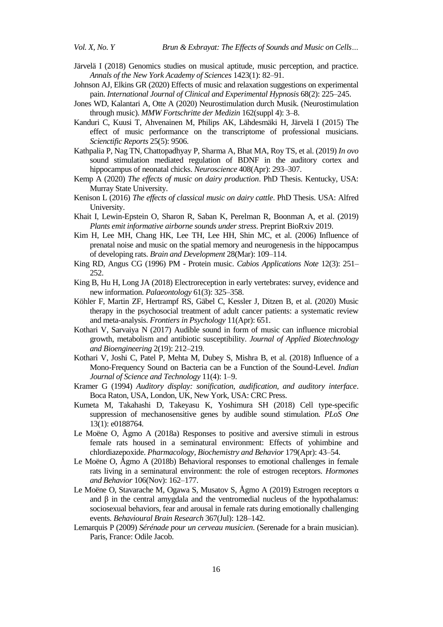- Järvelä I (2018) Genomics studies on musical aptitude, music perception, and practice. *Annals of the New York Academy of Sciences* 1423(1): 82–91.
- Johnson AJ, Elkins GR (2020) Effects of music and relaxation suggestions on experimental pain. *International Journal of Clinical and Experimental Hypnosis* 68(2): 225–245.
- Jones WD, Kalantari A, Otte A (2020) Neurostimulation durch Musik. (Neurostimulation through music). *MMW Fortschritte der Medizin* 162(suppl 4): 3–8.
- Kanduri C, Kuusi T, Ahvenainen M, Philips AK, Lähdesmäki H, Järvelä I (2015) The effect of music performance on the transcriptome of professional musicians. *Scienctific Reports* 25(5): 9506.
- Kathpalia P, Nag TN, Chattopadhyay P, Sharma A, Bhat MA, Roy TS, et al. (2019) *In ovo* sound stimulation mediated regulation of BDNF in the auditory cortex and hippocampus of neonatal chicks. *Neuroscience* 408(Apr): 293–307.
- Kemp A (2020) *The effects of music on dairy production*. PhD Thesis. Kentucky, USA: Murray State University.
- Kenison L (2016) *The effects of classical music on dairy cattle*. PhD Thesis. USA: Alfred University.
- Khait I, Lewin-Epstein O, Sharon R, Saban K, Perelman R, Boonman A, et al. (2019) *Plants emit informative airborne sounds under stress*. Preprint BioRxiv 2019.
- Kim H, Lee MH, Chang HK, Lee TH, Lee HH, Shin MC, et al. (2006) Influence of prenatal noise and music on the spatial memory and neurogenesis in the hippocampus of developing rats. *Brain and Development* 28(Mar): 109–114.
- King RD, Angus CG (1996) PM Protein music. *Cabios Applications Note* 12(3): 251– 252.
- King B, Hu H, Long JA (2018) Electroreception in early vertebrates: survey, evidence and new information. *Palaeontology* 61(3): 325–358.
- Köhler F, Martin ZF, Hertrampf RS, Gäbel C, Kessler J, Ditzen B, et al. (2020) Music therapy in the psychosocial treatment of adult cancer patients: a systematic review and meta-analysis. *Frontiers in Psychology* 11(Apr): 651.
- Kothari V, Sarvaiya N (2017) Audible sound in form of music can influence microbial growth, metabolism and antibiotic susceptibility. *Journal of Applied Biotechnology and Bioengineering* 2(19): 212–219.
- Kothari V, Joshi C, Patel P, Mehta M, Dubey S, Mishra B, et al. (2018) Influence of a Mono-Frequency Sound on Bacteria can be a Function of the Sound-Level. *Indian Journal of Science and Technology* 11(4): 1–9.
- Kramer G (1994) *Auditory display: sonification, audification, and auditory interface*. Boca Raton, USA, London, UK, New York, USA: CRC Press.
- Kumeta M, Takahashi D, Takeyasu K, Yoshimura SH (2018) Cell type-specific suppression of mechanosensitive genes by audible sound stimulation. *PLoS One*  13(1): e0188764.
- Le Moëne O, Ågmo A (2018a) Responses to positive and aversive stimuli in estrous female rats housed in a seminatural environment: Effects of yohimbine and chlordiazepoxide. *Pharmacology, Biochemistry and Behavior* 179(Apr): 43–54.
- Le Moëne O, Ågmo A (2018b) Behavioral responses to emotional challenges in female rats living in a seminatural environment: the role of estrogen receptors. *Hormones and Behavior* 106(Nov): 162–177.
- Le Moëne O, Stavarache M, Ogawa S, Musatov S, Ågmo A (2019) Estrogen receptors α and  $\beta$  in the central amygdala and the ventromedial nucleus of the hypothalamus: sociosexual behaviors, fear and arousal in female rats during emotionally challenging events. *Behavioural Brain Research* 367(Jul): 128–142.
- Lemarquis P (2009) *Sérénade pour un cerveau musicien*. (Serenade for a brain musician). Paris, France: Odile Jacob.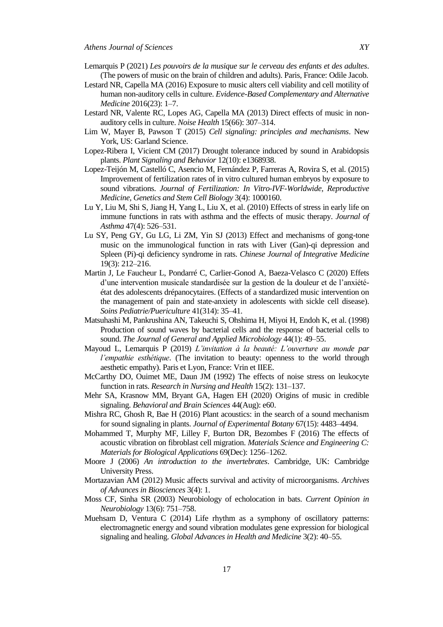- Lemarquis P (2021) *Les pouvoirs de la musique sur le cerveau des enfants et des adultes*. (The powers of music on the brain of children and adults). Paris, France: Odile Jacob.
- Lestard NR, Capella MA (2016) Exposure to music alters cell viability and cell motility of human non-auditory cells in culture. *Evidence-Based Complementary and Alternative Medicine* 2016(23): 1–7.
- Lestard NR, Valente RC, Lopes AG, Capella MA (2013) Direct effects of music in nonauditory cells in culture. *Noise Health* 15(66): 307–314.
- Lim W, Mayer B, Pawson T (2015) *Cell signaling: principles and mechanisms*. New York, US: Garland Science.
- Lopez-Ribera I, Vicient CM (2017) Drought tolerance induced by sound in Arabidopsis plants. *Plant Signaling and Behavior* 12(10): e1368938.
- Lopez-Teijón M, Castelló C, Asencio M, Fernández P, Farreras A, Rovira S, et al. (2015) Improvement of fertilization rates of in vitro cultured human embryos by exposure to sound vibrations. *Journal of Fertilization: In Vitro-IVF-Worldwide, Reproductive Medicine, Genetics and Stem Cell Biology* 3(4): 1000160.
- Lu Y, Liu M, Shi S, Jiang H, Yang L, Liu X, et al. (2010) Effects of stress in early life on immune functions in rats with asthma and the effects of music therapy. *Journal of Asthma* 47(4): 526–531.
- Lu SY, Peng GY, Gu LG, Li ZM, Yin SJ (2013) Effect and mechanisms of gong-tone music on the immunological function in rats with Liver (Gan)-qi depression and Spleen (Pi)-qi deficiency syndrome in rats. *Chinese Journal of Integrative Medicine* 19(3): 212–216.
- Martin J, Le Faucheur L, Pondarré C, Carlier-Gonod A, Baeza-Velasco C (2020) Effets d"une intervention musicale standardisée sur la gestion de la douleur et de l"anxiétéétat des adolescents drépanocytaires. (Effects of a standardized music intervention on the management of pain and state-anxiety in adolescents with sickle cell disease). *Soins Pediatrie/Puericulture* 41(314): 35–41.
- Matsuhashi M, Pankrushina AN, Takeuchi S, Ohshima H, Miyoi H, Endoh K, et al. (1998) Production of sound waves by bacterial cells and the response of bacterial cells to sound. *The Journal of General and Applied Microbiology* 44(1): 49–55.
- Mayoud L, Lemarquis P (2019) *L'invitation à la beauté: L'ouverture au monde par l'empathie esthétique*. (The invitation to beauty: openness to the world through aesthetic empathy). Paris et Lyon, France: Vrin et IIEE.
- McCarthy DO, Ouimet ME, Daun JM (1992) The effects of noise stress on leukocyte function in rats. *Research in Nursing and Health* 15(2): 131–137.
- Mehr SA, Krasnow MM, Bryant GA, Hagen EH (2020) Origins of music in credible signaling. *Behavioral and Brain Sciences* 44(Aug): e60.
- Mishra RC, Ghosh R, Bae H (2016) Plant acoustics: in the search of a sound mechanism for sound signaling in plants. *Journal of Experimental Botany* 67(15): 4483–4494.
- Mohammed T, Murphy MF, Lilley F, Burton DR, Bezombes F (2016) The effects of acoustic vibration on fibroblast cell migration. *Materials Science and Engineering C: Materials for Biological Applications* 69(Dec): 1256–1262.
- Moore J (2006) *An introduction to the invertebrates*. Cambridge, UK: Cambridge University Press.
- Mortazavian AM (2012) Music affects survival and activity of microorganisms. *Archives of Advances in Biosciences* 3(4): 1.
- Moss CF, Sinha SR (2003) Neurobiology of echolocation in bats. *Current Opinion in Neurobiology* 13(6): 751–758.
- Muehsam D, Ventura C (2014) Life rhythm as a symphony of oscillatory patterns: electromagnetic energy and sound vibration modulates gene expression for biological signaling and healing. *Global Advances in Health and Medicine* 3(2): 40–55.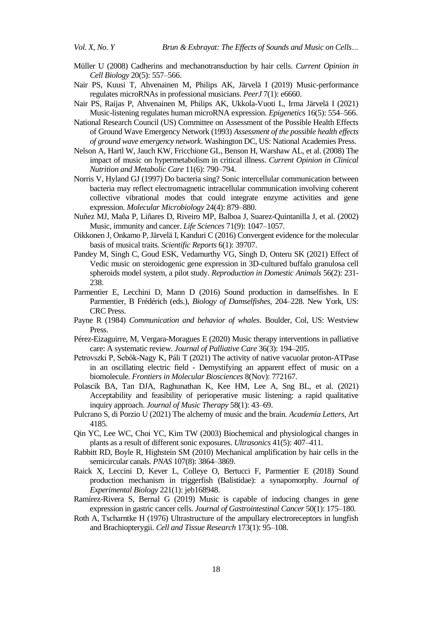- Müller U (2008) Cadherins and mechanotransduction by hair cells. *Current Opinion in Cell Biology* 20(5): 557–566.
- Nair PS, Kuusi T, Ahvenainen M, Philips AK, Järvelä I (2019) Music-performance regulates microRNAs in professional musicians. *PeerJ* 7(1): e6660.
- Nair PS, Raijas P, Ahvenainen M, Philips AK, Ukkola-Vuoti L, Irma Järvelä I (2021) Music-listening regulates human microRNA expression. *Epigenetics* 16(5): 554–566.
- National Research Council (US) Committee on Assessment of the Possible Health Effects of Ground Wave Emergency Network (1993) *Assessment of the possible health effects of ground wave emergency network*. Washington DC, US: National Academies Press.
- Nelson A, Hartl W, Jauch KW, Fricchione GL, Benson H, Warshaw AL, et al. (2008) The impact of music on hypermetabolism in critical illness. *Current Opinion in Clinical Nutrition and Metabolic Care* 11(6): 790–794.
- Norris V, Hyland GJ (1997) Do bacteria sing? Sonic intercellular communication between bacteria may reflect electromagnetic intracellular communication involving coherent collective vibrational modes that could integrate enzyme activities and gene expression. *Molecular Microbiology* 24(4): 879–880.
- Nuñez MJ, Maña P, Liñares D, Riveiro MP, Balboa J, Suarez-Quintanilla J, et al. (2002) Music, immunity and cancer. *Life Sciences* 71(9): 1047–1057.
- Oikkonen J, Onkamo P, Järvelä I, Kanduri C (2016) Convergent evidence for the molecular basis of musical traits. *Scientific Reports* 6(1): 39707.
- Pandey M, Singh C, Goud ESK, Vedamurthy VG, Singh D, Onteru SK (2021) Effect of Vedic music on steroidogenic gene expression in 3D-cultured buffalo granulosa cell spheroids model system, a pilot study. *Reproduction in Domestic Animals* 56(2): 231- 238.
- Parmentier E, Lecchini D, Mann D (2016) Sound production in damselfishes. In E Parmentier, B Frédérich (eds.), *Biology of Damselfishes*, 204–228. New York, US: CRC Press.
- Payne R (1984) *Communication and behavior of whales*. Boulder, Col, US: Westview Press.
- Pérez-Eizaguirre, M, Vergara-Moragues E (2020) Music therapy interventions in palliative care: A systematic review. *Journal of Palliative Care* 36(3): 194–205.
- Petrovszki P, Sebők-Nagy K, Páli T (2021) The activity of native vacuolar proton-ATPase in an oscillating electric field - Demystifying an apparent effect of music on a biomolecule*. Frontiers in Molecular Biosciences* 8(Nov): 772167.
- Polascik BA, Tan DJA, Raghunathan K, Kee HM, Lee A, Sng BL, et al. (2021) Acceptability and feasibility of perioperative music listening: a rapid qualitative inquiry approach. *Journal of Music Therapy* 58(1): 43–69.
- Pulcrano S, di Porzio U (2021) The alchemy of music and the brain. *Academia Letters*, Art 4185.
- Qin YC, Lee WC, Choi YC, Kim TW (2003) Biochemical and physiological changes in plants as a result of different sonic exposures. *Ultrasonics* 41(5): 407–411.
- Rabbitt RD, Boyle R, Highstein SM (2010) Mechanical amplification by hair cells in the semicircular canals. *PNAS* 107(8): 3864–3869.
- Raick X, Leccini D, Kever L, Colleye O, Bertucci F, Parmentier E (2018) Sound production mechanism in triggerfish (Balistidae): a synapomorphy. *Journal of Experimental Biology* 221(1): jeb168948.
- Ramírez-Rivera S, Bernal G (2019) Music is capable of inducing changes in gene expression in gastric cancer cells. *Journal of Gastrointestinal Cancer* 50(1): 175–180.
- Roth A, Tscharntke H (1976) Ultrastructure of the ampullary electroreceptors in lungfish and Brachiopterygii. *Cell and Tissue Research* 173(1): 95–108.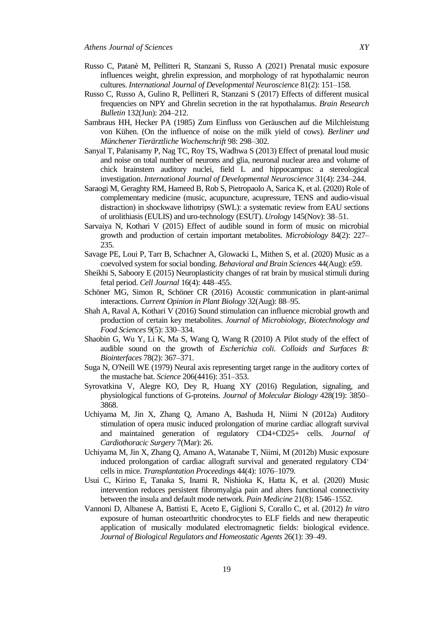- Russo C, Patanè M, Pellitteri R, Stanzani S, Russo A (2021) Prenatal music exposure influences weight, ghrelin expression, and morphology of rat hypothalamic neuron cultures. *International Journal of Developmental Neuroscience* 81(2): 151–158.
- Russo C, Russo A, Gulino R, Pellitteri R, Stanzani S (2017) Effects of different musical frequencies on NPY and Ghrelin secretion in the rat hypothalamus. *Brain Research Bulletin* 132(Jun): 204–212.
- Sambraus HH, Hecker PA (1985) Zum Einfluss von Geräuschen auf die Milchleistung von Kühen. (On the influence of noise on the milk yield of cows). *Berliner und Münchener Tierärztliche Wochenschrift* 98: 298–302.
- Sanyal T, Palanisamy P, Nag TC, Roy TS, Wadhwa S (2013) Effect of prenatal loud music and noise on total number of neurons and glia, neuronal nuclear area and volume of chick brainstem auditory nuclei, field L and hippocampus: a stereological investigation. *International Journal of Developmental Neuroscience* 31(4): 234–244.
- Saraogi M, Geraghty RM, Hameed B, Rob S, Pietropaolo A, Sarica K, et al. (2020) Role of complementary medicine (music, acupuncture, acupressure, TENS and audio-visual distraction) in shockwave lithotripsy (SWL): a systematic review from EAU sections of urolithiasis (EULIS) and uro-technology (ESUT). *Urology* 145(Nov): 38–51.
- Sarvaiya N, Kothari V (2015) Effect of audible sound in form of music on microbial growth and production of certain important metabolites. *Microbiology* 84(2): 227– 235.
- Savage PE, Loui P, Tarr B, Schachner A, Glowacki L, Mithen S, et al. (2020) Music as a coevolved system for social bonding. *Behavioral and Brain Sciences* 44(Aug): e59.
- Sheikhi S, Saboory E (2015) Neuroplasticity changes of rat brain by musical stimuli during fetal period. *Cell Journal* 16(4): 448–455.
- Schöner MG, Simon R, Schöner CR (2016) Acoustic communication in plant-animal interactions. *Current Opinion in Plant Biology* 32(Aug): 88–95.
- Shah A, Raval A, Kothari V (2016) Sound stimulation can influence microbial growth and production of certain key metabolites. *Journal of Microbiology, Biotechnology and Food Sciences* 9(5): 330–334.
- Shaobin G, Wu Y, Li K, Ma S, Wang Q, Wang R (2010) A Pilot study of the effect of audible sound on the growth of *Escherichia coli*. *Colloids and Surfaces B: Biointerfaces* 78(2): 367–371.
- Suga N, O'Neill WE (1979) Neural axis representing target range in the auditory cortex of the mustache bat. *Science* 206(4416): 351–353.
- Syrovatkina V, Alegre KO, Dey R, Huang XY (2016) Regulation, signaling, and physiological functions of G-proteins. *Journal of Molecular Biology* 428(19): 3850– 3868.
- Uchiyama M, Jin X, Zhang Q, Amano A, Bashuda H, Niimi N (2012a) Auditory stimulation of opera music induced prolongation of murine cardiac allograft survival and maintained generation of regulatory CD4+CD25+ cells. *Journal of Cardiothoracic Surgery* 7(Mar): 26.
- Uchiyama M, Jin X, Zhang Q, Amano A, Watanabe T, Niimi, M (2012b) Music exposure induced prolongation of cardiac allograft survival and generated regulatory  $CD4^+$ cells in mice. *Transplantation Proceedings* 44(4): 1076–1079.
- Usui C, Kirino E, Tanaka S, Inami R, Nishioka K, Hatta K, et al. (2020) Music intervention reduces persistent fibromyalgia pain and alters functional connectivity between the insula and default mode network. *Pain Medicine* 21(8): 1546–1552.
- Vannoni D, Albanese A, Battisti E, Aceto E, Giglioni S, Corallo C, et al. (2012) *In vitro* exposure of human osteoarthritic chondrocytes to ELF fields and new therapeutic application of musically modulated electromagnetic fields: biological evidence. *Journal of Biological Regulators and Homeostatic Agents* 26(1): 39–49.